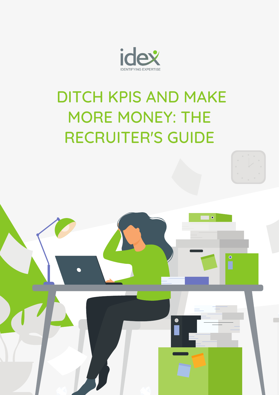

# DITCH KPIS AND MAKE MORE MONEY: THE RECRUITER'S GUIDE



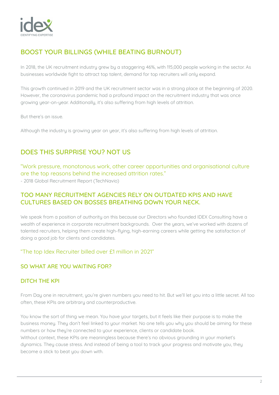

### BOOST YOUR BILLINGS (WHILE BEATING BURNOUT)

In 2018, the UK recruitment industry grew by a staggering 46%, with 115,000 people working in the sector. As businesses worldwide fight to attract top talent, demand for top recruiters will only expand.

This growth continued in 2019 and the UK recruitment sector was in a strong place at the beginning of 2020. However, the coronavirus pandemic had a profound impact on the recruitment industry that was once growing year-on-year. Additionally, it's also suffering from high levels of attrition.

But there's an issue.

Although the industry is growing year on year, it's also suffering from high levels of attrition.

### DOES THIS SURPRISE YOU? NOT US

"Work pressure, monotonous work, other career opportunities and organisational culture are the top reasons behind the increased attrition rates."

- 2018 Global Recruitment Report (TechNavio)

#### TOO MANY RECRUITMENT AGENCIES RELY ON OUTDATED KPIS AND HAVE CULTURES BASED ON BOSSES BREATHING DOWN YOUR NECK.

We speak from a position of authority on this because our Directors who founded IDEX Consulting have a wealth of experience in corporate recruitment backgrounds. Over the years, we've worked with dozens of talented recruiters, helping them create high-flying, high-earning careers while getting the satisfaction of doing a good job for clients and candidates.

#### "The top Idex Recruiter billed over £1 million in 2021"

#### SO WHAT ARE YOU WAITING FOR?

#### DITCH THE KPI

From Day one in recruitment, you're given numbers you need to hit. But we'll let you into a little secret. All too often, these KPIs are arbitrary and counterproductive.

You know the sort of thing we mean. You have your targets, but it feels like their purpose is to make the business money. They don't feel linked to your market. No one tells you why you should be aiming for these numbers or how they're connected to your experience, clients or candidate book. Without context, these KPIs are meaningless because there's no obvious grounding in your market's dynamics. They cause stress. And instead of being a tool to track your progress and motivate you, they become a stick to beat you down with.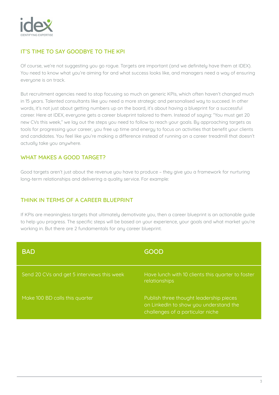

#### IT'S TIME TO SAY GOODBYE TO THE KPI

Of course, we're not suggesting you go rogue. Targets are important (and we definitely have them at IDEX). You need to know what you're aiming for and what success looks like, and managers need a way of ensuring everyone is on track.

But recruitment agencies need to stop focusing so much on generic KPIs, which often haven't changed much in 15 years. Talented consultants like you need a more strategic and personalised way to succeed. In other words, it's not just about getting numbers up on the board, it's about having a blueprint for a successful career. Here at IDEX, everyone gets a career blueprint tailored to them. Instead of saying: "You must get 20 new CVs this week," we lay out the steps you need to follow to reach your goals. By approaching targets as tools for progressing your career, you free up time and energy to focus on activities that benefit your clients and candidates. You feel like you're making a difference instead of running on a career treadmill that doesn't actually take you anywhere.

#### WHAT MAKES A GOOD TARGET?

Good targets aren't just about the revenue you have to produce – they give you a framework for nurturing long-term relationships and delivering a quality service. For example:

#### THINK IN TERMS OF A CAREER BLUEPRINT

If KPIs are meaningless targets that ultimately demotivate you, then a career blueprint is an actionable guide to help you progress. The specific steps will be based on your experience, your goals and what market you're working in. But there are 2 fundamentals for any career blueprint.

| <b>BAD</b>                                 | <b>GOOD</b>                                                                                                           |
|--------------------------------------------|-----------------------------------------------------------------------------------------------------------------------|
| Send 20 CVs and get 5 interviews this week | Have lunch with 10 clients this quarter to foster<br>relationships                                                    |
| Make 100 BD calls this quarter             | Publish three thought leadership pieces<br>on LinkedIn to show you understand the<br>challenges of a particular niche |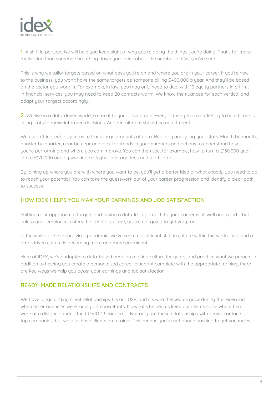

1. A shift in perspective will help you keep sight of why you're doing the things you're doing. That's far more motivating than someone breathing down your neck about the number of CVs you've sent.

This is why we tailor targets based on what desk you're on and where you are in your career. If you're new to the business, you won't have the same targets as someone billing £400,000 a year. And they'll be based on the sector you work in. For example, in law, you may only need to deal with 10 equity partners in a firm; in financial services, you may need to keep 20 contacts warm. We know the nuances for each vertical and adapt your targets accordingly.

2. We live in a data-driven world, so use it to your advantage. Every industry from marketing to healthcare is using stats to make informed decisions. And recruitment should be no different.

We use cutting-edge systems to track large amounts of data. Begin by analysing your stats. Month by month, quarter by quarter, year by year and look for trends in your numbers and actions to understand how you're performing and where you can improve. You can then see, for example, how to turn a £130,000 year into a £170,000 one by working on higher average fees and job fill rates.

By joining up where you are with where you want to be, you'll get a better idea of what exactly you need to do to reach your potential. You can take the guesswork out of your career progression and identify a clear path to success.

#### HOW IDEX HELPS YOU MAX YOUR EARNINGS AND JOB SATISFACTION

Shifting your approach to targets and taking a data-led approach to your career is all well and good – but unless your employer fosters that kind of culture, you're not going to get very far.

In the wake of the coronavirus pandemic, we've seen a significant shift in culture within the workplace, and a data-driven culture is becoming more and more prominent.

Here at IDEX, we've adopted a data-based decision making culture for years, and practice what we preach. In addition to helping you create a personalised career blueprint complete with the appropriate training, there are key ways we help you boost your earnings and job satisfaction.

#### READY-MADE RELATIONSHIPS AND CONTRACTS

We have longstanding client relationships. It's our USP, and it's what helped us grow during the recession when other agencies were laying off consultants. It's what's helped us keep our clients close when they were at a distance during the COVID-19 pandemic. Not only are these relationships with senior contacts at top companies, but we also have clients on retainer. This means you're not phone bashing to get vacancies.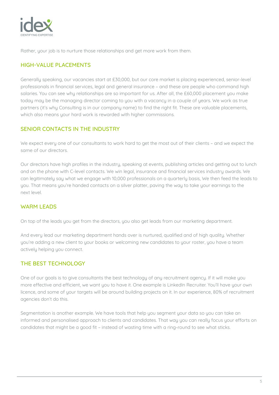

Rather, your job is to nurture those relationships and get more work from them.

#### HIGH-VALUE PLACEMENTS

Generally speaking, our vacancies start at £30,000, but our core market is placing experienced, senior-level professionals in financial services, legal and general insurance – and these are people who command high salaries. You can see why relationships are so important for us. After all, the £60,000 placement you make today may be the managing director coming to you with a vacancy in a couple of years. We work as true partners (it's why Consulting is in our company name) to find the right fit. These are valuable placements, which also means your hard work is rewarded with higher commissions.

#### SENIOR CONTACTS IN THE INDUSTRY

We expect every one of our consultants to work hard to get the most out of their clients – and we expect the same of our directors.

Our directors have high profiles in the industry, speaking at events, publishing articles and getting out to lunch and on the phone with C-level contacts. We win legal, insurance and financial services industry awards. We can legitimately say what we engage with 10,000 professionals on a quarterly basis. We then feed the leads to you. That means you're handed contacts on a silver platter, paving the way to take your earnings to the next level.

#### WARM LEADS

On top of the leads you get from the directors, you also get leads from our marketing department.

And every lead our marketing department hands over is nurtured, qualified and of high quality. Whether you're adding a new client to your books or welcoming new candidates to your roster, you have a team actively helping you connect.

#### THE BEST TECHNOLOGY

One of our goals is to give consultants the best technology of any recruitment agency. If it will make you more effective and efficient, we want you to have it. One example is LinkedIn Recruiter. You'll have your own licence, and some of your targets will be around building projects on it. In our experience, 80% of recruitment agencies don't do this.

Segmentation is another example. We have tools that help you segment your data so you can take an informed and personalised approach to clients and candidates. That way you can really focus your efforts on candidates that might be a good fit – instead of wasting time with a ring-round to see what sticks.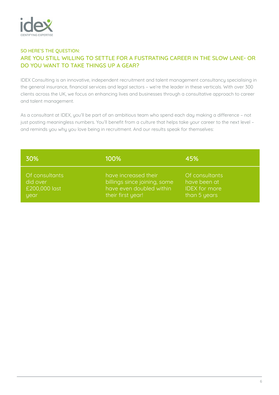

#### SO HERE'S THE QUESTION: ARE YOU STILL WILLING TO SETTLE FOR A FUSTRATING CAREER IN THE SLOW LANE- OR DO YOU WANT TO TAKE THINGS UP A GEAR?

IDEX Consulting is an innovative, independent recruitment and talent management consultancy specialising in the general insurance, financial services and legal sectors – we're the leader in these verticals. With over 300 clients across the UK, we focus on enhancing lives and businesses through a consultative approach to career and talent management.

As a consultant at IDEX, you'll be part of an ambitious team who spend each day making a difference – not just posting meaningless numbers. You'll benefit from a culture that helps take your career to the next level – and reminds you why you love being in recruitment. And our results speak for themselves:

| 30%            | 100%                         | 45%                  |
|----------------|------------------------------|----------------------|
| Of consultants | have increased their         | Of consultants       |
| did over       | billings since joining, some | have been at         |
| £200,000 last  | have even doubled within     | <b>IDEX</b> for more |
| year           | their first year!            | than 5 years         |